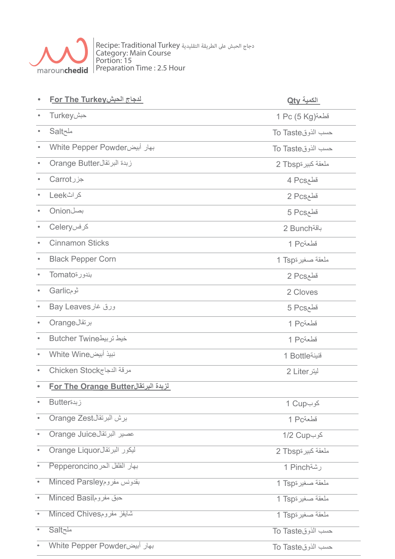

دجاج الحبش على الطريقة التقليدية Recipe: Traditional Turkey Category: Main Course Portion: 15 Preparation Time : 2.5 Hour

|           | <u> لدجاج الحبشFor The Turkey</u>            | الكمية Qty          |
|-----------|----------------------------------------------|---------------------|
| $\bullet$ | Turkeyحبش                                    | 1 Pc (5 Kg)قطعة     |
| $\bullet$ | <b>Salt</b>                                  | To Taste            |
| $\bullet$ | بهار أبيضWhite Pepper Powder                 | حسب الذوقTo Taste   |
| $\bullet$ | Orange Butter                                | A ملعقة كبيرة2 Tbsp |
| $\bullet$ | جزرCarrot                                    | قطع4 Pcs            |
| $\bullet$ | كراثLeek                                     | قطع2 Pcs            |
| $\bullet$ | Onionبصل                                     | قطع5 Pcs            |
| $\bullet$ | کرفسCelery                                   | باقة Bunch          |
| $\bullet$ | <b>Cinnamon Sticks</b>                       | قطعة1 Pc            |
| $\bullet$ | <b>Black Pepper Corn</b>                     | ملعقة صغيرة1 Tsp    |
| $\bullet$ | بندورةTomato                                 | 2 Pcsقطع            |
| $\bullet$ | تومGarlic                                    | 2 Cloves            |
| $\bullet$ | ورق غار Bay Leaves                           | قطع5 Pcs            |
| $\bullet$ | برتقالOrange                                 | قطعة1 Pc            |
| $\bullet$ | خيط تربيطButcher Twine                       | قطعة1 Pc            |
| $\bullet$ | نبيذ أبيضWhite Wine                          | 1 Bottle            |
| $\bullet$ | مرقة الدجاجChicken Stock                     | ليتر Liter 2        |
| $\bullet$ | <u> لزبدة البرتقال For The Orange Butter</u> |                     |
| $\bullet$ | <b>Butter</b> نبدة                           | کرب1 Cup            |
| $\bullet$ | برش البرتقالOrange Zest                      | قطعة1 Pc            |
| $\bullet$ | Orange Juice عصير البرتقال                   | کوب2 Cup            |
| $\bullet$ | ليكور البرتقالOrange Liquor                  | ملعقة كبير ةTbsp    |
| $\bullet$ | بهار الفلفل الحر Pepperoncino                | رشة1 Pinch          |
| $\bullet$ | Minced Parsley                               | ملعقة صغيرة1 Tsp    |
| $\bullet$ | Minced Basil                                 | ملعقة صغيرة1 Tsp    |
| $\bullet$ | شايفز مفرومMinced Chives                     | ملعقة صغيرة1 Tsp    |
| $\bullet$ | ملحSalt                                      | حسب الذوقTo Taste   |
|           | بهار أبيضWhite Pepper Powder                 | حسب الذوقTo Taste   |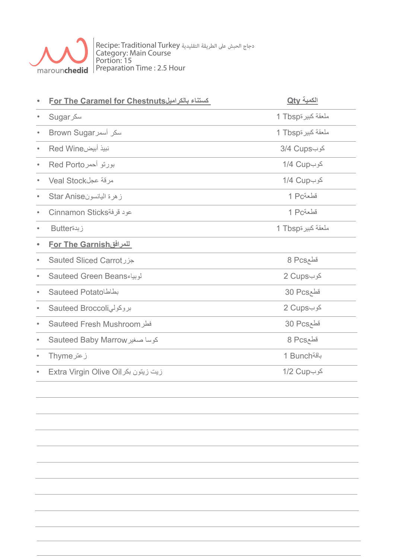

دجاج الحبش على الطريقة التقليدية Recipe: Traditional Turkey Category: Main Course Portion: 15 Preparation Time : 2.5 Hour

|           | <u> Eor The Caramel for Chestnuts حستناء بالكراميل</u> | <u> الكمية Qty</u> |
|-----------|--------------------------------------------------------|--------------------|
| $\bullet$ | <b>Sugar</b> سکر                                       | ملعقة كبيرةTbsp    |
| $\bullet$ | Mown Sugar                                             | ملعقة كبيرة1 Tbsp  |
| $\bullet$ | نبيذ أبيضRed Wine                                      | کوب3/4 Cups        |
| $\bullet$ | بورتو أحمر Red Porto                                   | کوب1/4 Cup         |
| $\bullet$ | مرقة عجلVeal Stock                                     | کوب1/4 Cup         |
| $\bullet$ | زهرة اليانسونStar Anise                                | قطعة1 Pc           |
|           | Cinnamon Sticks                                        | قطعة 1 Pc          |
|           | زبدةButter                                             | ملعقة كبيرةTbsp    |
| $\bullet$ | <u>For The Garnish للمرافق</u>                         |                    |
| $\bullet$ | Sauted Sliced Carrot                                   | قطع8 Pcs           |
| $\bullet$ | لوبياء Sauteed Green Beans                             | کوب2 Cups          |
| $\bullet$ | Sauteed Potato                                         | قطع30 Pcs          |
| $\bullet$ | بروكولى Sauteed Broccoli                               | کوب2 Cups          |
| $\bullet$ | <b>Sauteed Fresh Mushroom</b>                          | قطع30 Pcs          |
| $\bullet$ | Sauteed Baby Marrow كوسا صغير                          | قطع8 Pcs           |
| $\bullet$ | زعتر Thyme                                             | باقة1 Bunch        |
| $\bullet$ | زيت زيتون بكر Extra Virgin Olive Oil                   | کوب2 Cup           |